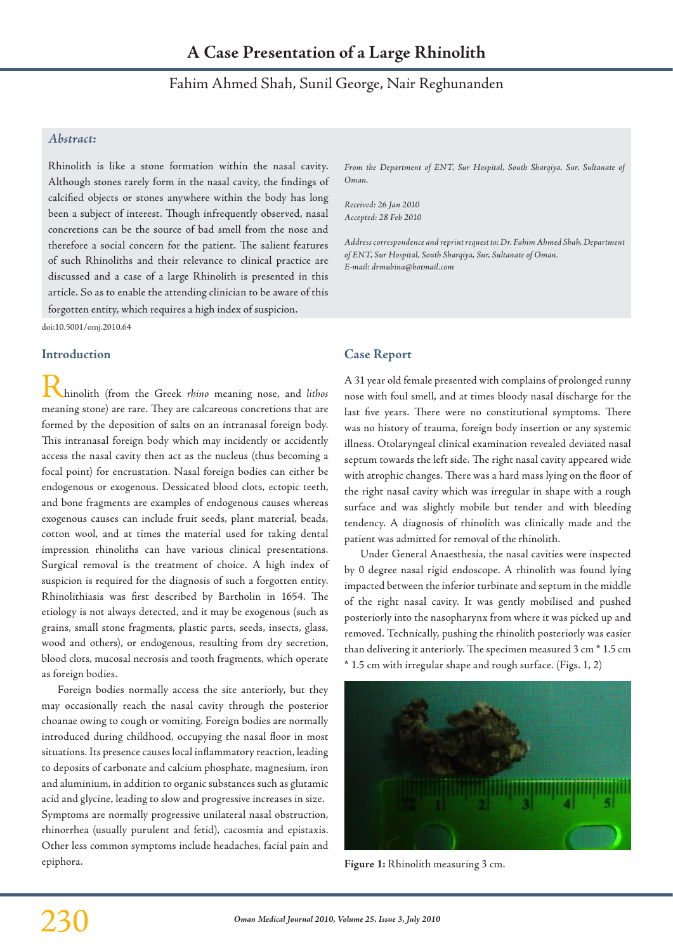# Fahim Ahmed Shah, Sunil George, Nair Reghunanden

## *Abstract:*

Rhinolith is like a stone formation within the nasal cavity. Although stones rarely form in the nasal cavity, the findings of calcified objects or stones anywhere within the body has long been a subject of interest. Though infrequently observed, nasal concretions can be the source of bad smell from the nose and therefore a social concern for the patient. The salient features of such Rhinoliths and their relevance to clinical practice are discussed and a case of a large Rhinolith is presented in this article. So as to enable the attending clinician to be aware of this forgotten entity, which requires a high index of suspicion.

doi:10.5001/omj.2010.64

#### **Introduction**

Rhinolith (from the Greek *rhino* meaning nose, and *lithos* meaning stone) are rare. They are calcareous concretions that are formed by the deposition of salts on an intranasal foreign body. This intranasal foreign body which may incidently or accidently access the nasal cavity then act as the nucleus (thus becoming a focal point) for encrustation. Nasal foreign bodies can either be endogenous or exogenous. Dessicated blood clots, ectopic teeth, and bone fragments are examples of endogenous causes whereas exogenous causes can include fruit seeds, plant material, beads, cotton wool, and at times the material used for taking dental impression rhinoliths can have various clinical presentations. Surgical removal is the treatment of choice. A high index of suspicion is required for the diagnosis of such a forgotten entity. Rhinolithiasis was first described by Bartholin in 1654. The etiology is not always detected, and it may be exogenous (such as grains, small stone fragments, plastic parts, seeds, insects, glass, wood and others), or endogenous, resulting from dry secretion, blood clots, mucosal necrosis and tooth fragments, which operate as foreign bodies.

Foreign bodies normally access the site anteriorly, but they may occasionally reach the nasal cavity through the posterior choanae owing to cough or vomiting. Foreign bodies are normally introduced during childhood, occupying the nasal floor in most situations. Its presence causes local inflammatory reaction, leading to deposits of carbonate and calcium phosphate, magnesium, iron and aluminium, in addition to organic substances such as glutamic acid and glycine, leading to slow and progressive increases in size. Symptoms are normally progressive unilateral nasal obstruction, rhinorrhea (usually purulent and fetid), cacosmia and epistaxis. Other less common symptoms include headaches, facial pain and epiphora.

*From the Department of ENT, Sur Hospital, South Sharqiya, Sur, Sultanate of Oman.*

*Received: 26 Jan 2010 Accepted: 28 Feb 2010*

*Address correspondence and reprint request to: Dr. Fahim Ahmed Shah, Department of ENT, Sur Hospital, South Sharqiya, Sur, Sultanate of Oman. E-mail: drmubina@hotmail.com*

### **Case Report**

A 31 year old female presented with complains of prolonged runny nose with foul smell, and at times bloody nasal discharge for the last five years. There were no constitutional symptoms. There was no history of trauma, foreign body insertion or any systemic illness. Otolaryngeal clinical examination revealed deviated nasal septum towards the left side. The right nasal cavity appeared wide with atrophic changes. There was a hard mass lying on the floor of the right nasal cavity which was irregular in shape with a rough surface and was slightly mobile but tender and with bleeding tendency. A diagnosis of rhinolith was clinically made and the patient was admitted for removal of the rhinolith.

Under General Anaesthesia, the nasal cavities were inspected by 0 degree nasal rigid endoscope. A rhinolith was found lying impacted between the inferior turbinate and septum in the middle of the right nasal cavity. It was gently mobilised and pushed posteriorly into the nasopharynx from where it was picked up and removed. Technically, pushing the rhinolith posteriorly was easier than delivering it anteriorly. The specimen measured 3 cm \* 1.5 cm \* 1.5 cm with irregular shape and rough surface. (Figs. 1, 2)



**Figure 1:** Rhinolith measuring 3 cm.